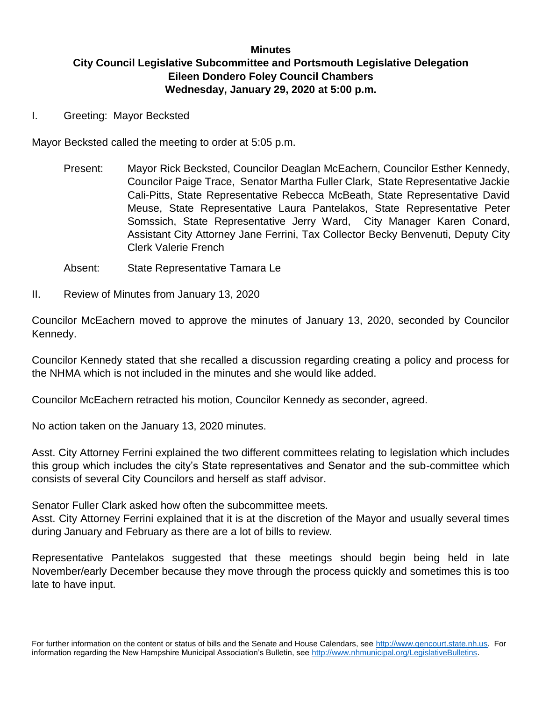## **Minutes City Council Legislative Subcommittee and Portsmouth Legislative Delegation Eileen Dondero Foley Council Chambers Wednesday, January 29, 2020 at 5:00 p.m.**

I. Greeting: Mayor Becksted

Mayor Becksted called the meeting to order at 5:05 p.m.

- Present: Mayor Rick Becksted, Councilor Deaglan McEachern, Councilor Esther Kennedy, Councilor Paige Trace, Senator Martha Fuller Clark, State Representative Jackie Cali-Pitts, State Representative Rebecca McBeath, State Representative David Meuse, State Representative Laura Pantelakos, State Representative Peter Somssich, State Representative Jerry Ward, City Manager Karen Conard, Assistant City Attorney Jane Ferrini, Tax Collector Becky Benvenuti, Deputy City Clerk Valerie French
- Absent: State Representative Tamara Le
- II. Review of Minutes from January 13, 2020

Councilor McEachern moved to approve the minutes of January 13, 2020, seconded by Councilor Kennedy.

Councilor Kennedy stated that she recalled a discussion regarding creating a policy and process for the NHMA which is not included in the minutes and she would like added.

Councilor McEachern retracted his motion, Councilor Kennedy as seconder, agreed.

No action taken on the January 13, 2020 minutes.

Asst. City Attorney Ferrini explained the two different committees relating to legislation which includes this group which includes the city's State representatives and Senator and the sub-committee which consists of several City Councilors and herself as staff advisor.

Senator Fuller Clark asked how often the subcommittee meets.

Asst. City Attorney Ferrini explained that it is at the discretion of the Mayor and usually several times during January and February as there are a lot of bills to review.

Representative Pantelakos suggested that these meetings should begin being held in late November/early December because they move through the process quickly and sometimes this is too late to have input.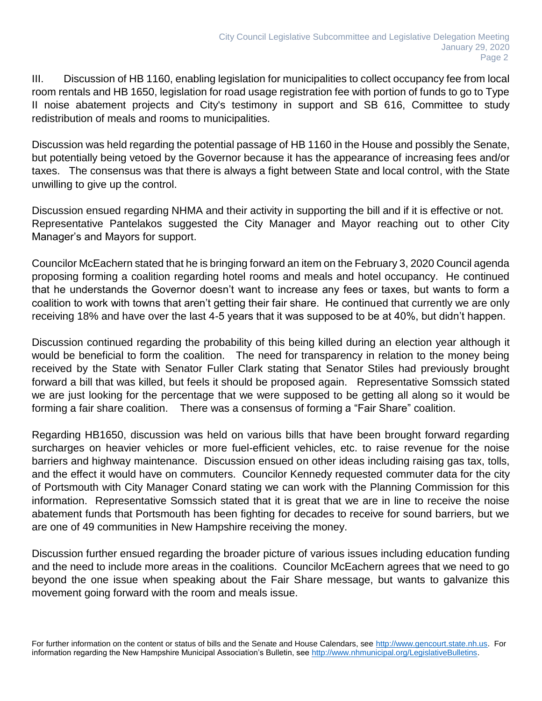III. Discussion of HB 1160, enabling legislation for municipalities to collect occupancy fee from local room rentals and HB 1650, legislation for road usage registration fee with portion of funds to go to Type II noise abatement projects and City's testimony in support and SB 616, Committee to study redistribution of meals and rooms to municipalities.

Discussion was held regarding the potential passage of HB 1160 in the House and possibly the Senate, but potentially being vetoed by the Governor because it has the appearance of increasing fees and/or taxes. The consensus was that there is always a fight between State and local control, with the State unwilling to give up the control.

Discussion ensued regarding NHMA and their activity in supporting the bill and if it is effective or not. Representative Pantelakos suggested the City Manager and Mayor reaching out to other City Manager's and Mayors for support.

Councilor McEachern stated that he is bringing forward an item on the February 3, 2020 Council agenda proposing forming a coalition regarding hotel rooms and meals and hotel occupancy. He continued that he understands the Governor doesn't want to increase any fees or taxes, but wants to form a coalition to work with towns that aren't getting their fair share. He continued that currently we are only receiving 18% and have over the last 4-5 years that it was supposed to be at 40%, but didn't happen.

Discussion continued regarding the probability of this being killed during an election year although it would be beneficial to form the coalition. The need for transparency in relation to the money being received by the State with Senator Fuller Clark stating that Senator Stiles had previously brought forward a bill that was killed, but feels it should be proposed again. Representative Somssich stated we are just looking for the percentage that we were supposed to be getting all along so it would be forming a fair share coalition. There was a consensus of forming a "Fair Share" coalition.

Regarding HB1650, discussion was held on various bills that have been brought forward regarding surcharges on heavier vehicles or more fuel-efficient vehicles, etc. to raise revenue for the noise barriers and highway maintenance. Discussion ensued on other ideas including raising gas tax, tolls, and the effect it would have on commuters. Councilor Kennedy requested commuter data for the city of Portsmouth with City Manager Conard stating we can work with the Planning Commission for this information. Representative Somssich stated that it is great that we are in line to receive the noise abatement funds that Portsmouth has been fighting for decades to receive for sound barriers, but we are one of 49 communities in New Hampshire receiving the money.

Discussion further ensued regarding the broader picture of various issues including education funding and the need to include more areas in the coalitions. Councilor McEachern agrees that we need to go beyond the one issue when speaking about the Fair Share message, but wants to galvanize this movement going forward with the room and meals issue.

For further information on the content or status of bills and the Senate and House Calendars, see [http://www.gencourt.state.nh.us.](http://www.gencourt.state.nh.us/) For information regarding the New Hampshire Municipal Association's Bulletin, see [http://www.nhmunicipal.org/LegislativeBulletins.](http://www.nhmunicipal.org/LegislativeBulletins)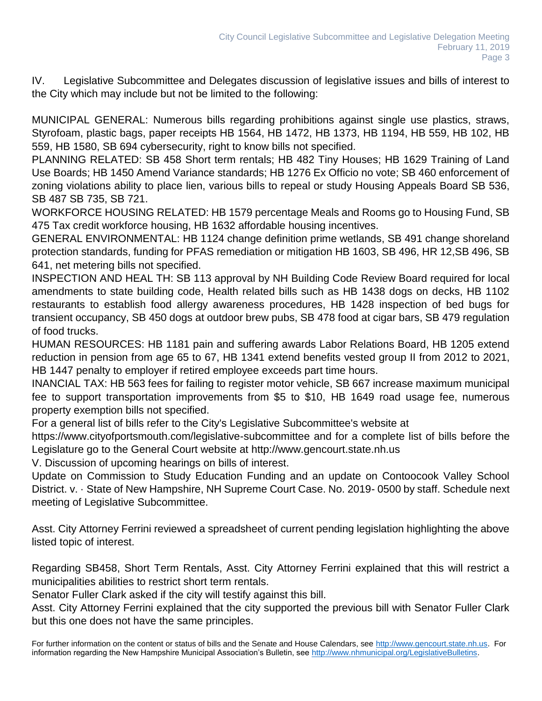IV. Legislative Subcommittee and Delegates discussion of legislative issues and bills of interest to the City which may include but not be limited to the following:

MUNICIPAL GENERAL: Numerous bills regarding prohibitions against single use plastics, straws, Styrofoam, plastic bags, paper receipts HB 1564, HB 1472, HB 1373, HB 1194, HB 559, HB 102, HB 559, HB 1580, SB 694 cybersecurity, right to know bills not specified.

PLANNING RELATED: SB 458 Short term rentals; HB 482 Tiny Houses; HB 1629 Training of Land Use Boards; HB 1450 Amend Variance standards; HB 1276 Ex Officio no vote; SB 460 enforcement of zoning violations ability to place lien, various bills to repeal or study Housing Appeals Board SB 536, SB 487 SB 735, SB 721.

WORKFORCE HOUSING RELATED: HB 1579 percentage Meals and Rooms go to Housing Fund, SB 475 Tax credit workforce housing, HB 1632 affordable housing incentives.

GENERAL ENVIRONMENTAL: HB 1124 change definition prime wetlands, SB 491 change shoreland protection standards, funding for PFAS remediation or mitigation HB 1603, SB 496, HR 12,SB 496, SB 641, net metering bills not specified.

INSPECTION AND HEAL TH: SB 113 approval by NH Building Code Review Board required for local amendments to state building code, Health related bills such as HB 1438 dogs on decks, HB 1102 restaurants to establish food allergy awareness procedures, HB 1428 inspection of bed bugs for transient occupancy, SB 450 dogs at outdoor brew pubs, SB 478 food at cigar bars, SB 479 regulation of food trucks.

HUMAN RESOURCES: HB 1181 pain and suffering awards Labor Relations Board, HB 1205 extend reduction in pension from age 65 to 67, HB 1341 extend benefits vested group II from 2012 to 2021, HB 1447 penalty to employer if retired employee exceeds part time hours.

INANCIAL TAX: HB 563 fees for failing to register motor vehicle, SB 667 increase maximum municipal fee to support transportation improvements from \$5 to \$10, HB 1649 road usage fee, numerous property exemption bills not specified.

For a general list of bills refer to the City's Legislative Subcommittee's website at

https://www.cityofportsmouth.com/legislative-subcommittee and for a complete list of bills before the Legislature go to the General Court website at http://www.gencourt.state.nh.us

V. Discussion of upcoming hearings on bills of interest.

Update on Commission to Study Education Funding and an update on Contoocook Valley School District. v. · State of New Hampshire, NH Supreme Court Case. No. 2019- 0500 by staff. Schedule next meeting of Legislative Subcommittee.

Asst. City Attorney Ferrini reviewed a spreadsheet of current pending legislation highlighting the above listed topic of interest.

Regarding SB458, Short Term Rentals, Asst. City Attorney Ferrini explained that this will restrict a municipalities abilities to restrict short term rentals.

Senator Fuller Clark asked if the city will testify against this bill.

Asst. City Attorney Ferrini explained that the city supported the previous bill with Senator Fuller Clark but this one does not have the same principles.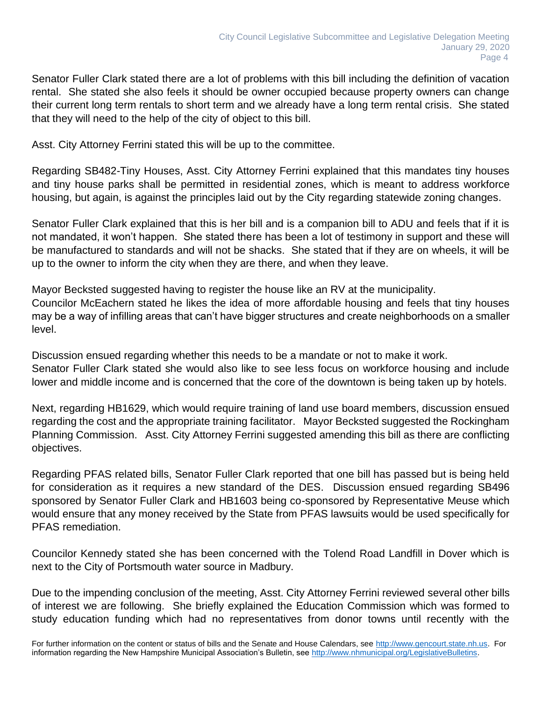Senator Fuller Clark stated there are a lot of problems with this bill including the definition of vacation rental. She stated she also feels it should be owner occupied because property owners can change their current long term rentals to short term and we already have a long term rental crisis. She stated that they will need to the help of the city of object to this bill.

Asst. City Attorney Ferrini stated this will be up to the committee.

Regarding SB482-Tiny Houses, Asst. City Attorney Ferrini explained that this mandates tiny houses and tiny house parks shall be permitted in residential zones, which is meant to address workforce housing, but again, is against the principles laid out by the City regarding statewide zoning changes.

Senator Fuller Clark explained that this is her bill and is a companion bill to ADU and feels that if it is not mandated, it won't happen. She stated there has been a lot of testimony in support and these will be manufactured to standards and will not be shacks. She stated that if they are on wheels, it will be up to the owner to inform the city when they are there, and when they leave.

Mayor Becksted suggested having to register the house like an RV at the municipality. Councilor McEachern stated he likes the idea of more affordable housing and feels that tiny houses may be a way of infilling areas that can't have bigger structures and create neighborhoods on a smaller level.

Discussion ensued regarding whether this needs to be a mandate or not to make it work. Senator Fuller Clark stated she would also like to see less focus on workforce housing and include lower and middle income and is concerned that the core of the downtown is being taken up by hotels.

Next, regarding HB1629, which would require training of land use board members, discussion ensued regarding the cost and the appropriate training facilitator. Mayor Becksted suggested the Rockingham Planning Commission. Asst. City Attorney Ferrini suggested amending this bill as there are conflicting objectives.

Regarding PFAS related bills, Senator Fuller Clark reported that one bill has passed but is being held for consideration as it requires a new standard of the DES. Discussion ensued regarding SB496 sponsored by Senator Fuller Clark and HB1603 being co-sponsored by Representative Meuse which would ensure that any money received by the State from PFAS lawsuits would be used specifically for PFAS remediation.

Councilor Kennedy stated she has been concerned with the Tolend Road Landfill in Dover which is next to the City of Portsmouth water source in Madbury.

Due to the impending conclusion of the meeting, Asst. City Attorney Ferrini reviewed several other bills of interest we are following. She briefly explained the Education Commission which was formed to study education funding which had no representatives from donor towns until recently with the